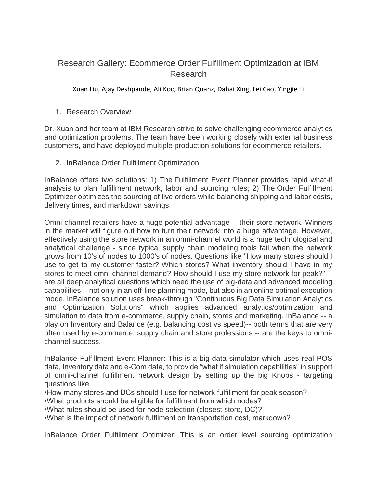## Research Gallery: Ecommerce Order Fulfillment Optimization at IBM Research

Xuan Liu, Ajay Deshpande, Ali Koc, Brian Quanz, Dahai Xing, Lei Cao, Yingjie Li

1. Research Overview

Dr. Xuan and her team at IBM Research strive to solve challenging ecommerce analytics and optimization problems. The team have been working closely with external business customers, and have deployed multiple production solutions for ecommerce retailers.

2. InBalance Order Fulfillment Optimization

InBalance offers two solutions: 1) The Fulfillment Event Planner provides rapid what-if analysis to plan fulfillment network, labor and sourcing rules; 2) The Order Fulfillment Optimizer optimizes the sourcing of live orders while balancing shipping and labor costs, delivery times, and markdown savings.

Omni-channel retailers have a huge potential advantage -- their store network. Winners in the market will figure out how to turn their network into a huge advantage. However, effectively using the store network in an omni-channel world is a huge technological and analytical challenge - since typical supply chain modeling tools fail when the network grows from 10's of nodes to 1000's of nodes. Questions like "How many stores should I use to get to my customer faster? Which stores? What inventory should I have in my stores to meet omni-channel demand? How should I use my store network for peak?" - are all deep analytical questions which need the use of big-data and advanced modeling capabilities -- not only in an off-line planning mode, but also in an online optimal execution mode. InBalance solution uses break-through "Continuous Big Data Simulation Analytics and Optimization Solutions" which applies advanced analytics/optimization and simulation to data from e-commerce, supply chain, stores and marketing. InBalance -- a play on Inventory and Balance (e.g. balancing cost vs speed)-- both terms that are very often used by e-commerce, supply chain and store professions -- are the keys to omnichannel success.

InBalance Fulfillment Event Planner: This is a big-data simulator which uses real POS data, Inventory data and e-Com data, to provide "what if simulation capabilities" in support of omni-channel fulfillment network design by setting up the big Knobs - targeting questions like

•How many stores and DCs should I use for network fulfillment for peak season?

•What products should be eligible for fulfillment from which nodes?

•What rules should be used for node selection (closest store, DC)?

•What is the impact of network fulfilment on transportation cost, markdown?

InBalance Order Fulfillment Optimizer: This is an order level sourcing optimization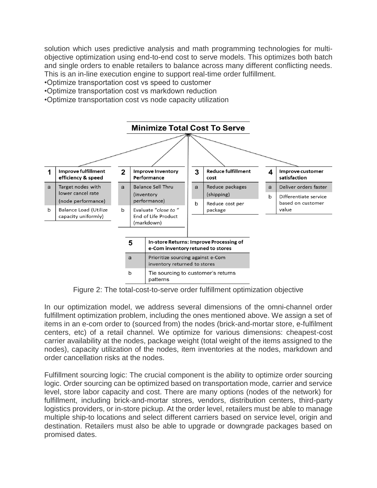solution which uses predictive analysis and math programming technologies for multiobjective optimization using end-to-end cost to serve models. This optimizes both batch and single orders to enable retailers to balance across many different conflicting needs. This is an in-line execution engine to support real-time order fulfillment.

- •Optimize transportation cost vs speed to customer
- •Optimize transportation cost vs markdown reduction
- •Optimize transportation cost vs node capacity utilization



Figure 2: The total-cost-to-serve order fulfillment optimization objective

In our optimization model, we address several dimensions of the omni-channel order fulfillment optimization problem, including the ones mentioned above. We assign a set of items in an e-com order to (sourced from) the nodes (brick-and-mortar store, e-fulfilment centers, etc) of a retail channel. We optimize for various dimensions: cheapest-cost carrier availability at the nodes, package weight (total weight of the items assigned to the nodes), capacity utilization of the nodes, item inventories at the nodes, markdown and order cancellation risks at the nodes.

Fulfillment sourcing logic: The crucial component is the ability to optimize order sourcing logic. Order sourcing can be optimized based on transportation mode, carrier and service level, store labor capacity and cost. There are many options (nodes of the network) for fulfillment, including brick-and-mortar stores, vendors, distribution centers, third-party logistics providers, or in-store pickup. At the order level, retailers must be able to manage multiple ship-to locations and select different carriers based on service level, origin and destination. Retailers must also be able to upgrade or downgrade packages based on promised dates.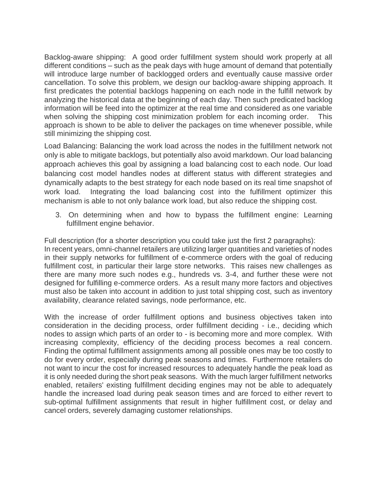Backlog-aware shipping: A good order fulfillment system should work properly at all different conditions – such as the peak days with huge amount of demand that potentially will introduce large number of backlogged orders and eventually cause massive order cancellation. To solve this problem, we design our backlog-aware shipping approach. It first predicates the potential backlogs happening on each node in the fulfill network by analyzing the historical data at the beginning of each day. Then such predicated backlog information will be feed into the optimizer at the real time and considered as one variable when solving the shipping cost minimization problem for each incoming order. This approach is shown to be able to deliver the packages on time whenever possible, while still minimizing the shipping cost.

Load Balancing: Balancing the work load across the nodes in the fulfillment network not only is able to mitigate backlogs, but potentially also avoid markdown. Our load balancing approach achieves this goal by assigning a load balancing cost to each node. Our load balancing cost model handles nodes at different status with different strategies and dynamically adapts to the best strategy for each node based on its real time snapshot of work load. Integrating the load balancing cost into the fulfillment optimizer this mechanism is able to not only balance work load, but also reduce the shipping cost.

3. On determining when and how to bypass the fulfillment engine: Learning fulfillment engine behavior.

Full description (for a shorter description you could take just the first 2 paragraphs): In recent years, omni-channel retailers are utilizing larger quantities and varieties of nodes in their supply networks for fulfillment of e-commerce orders with the goal of reducing fulfillment cost, in particular their large store networks. This raises new challenges as there are many more such nodes e.g., hundreds vs. 3-4, and further these were not designed for fulfilling e-commerce orders. As a result many more factors and objectives must also be taken into account in addition to just total shipping cost, such as inventory availability, clearance related savings, node performance, etc.

With the increase of order fulfillment options and business objectives taken into consideration in the deciding process, order fulfillment deciding - i.e., deciding which nodes to assign which parts of an order to - is becoming more and more complex. With increasing complexity, efficiency of the deciding process becomes a real concern. Finding the optimal fulfillment assignments among all possible ones may be too costly to do for every order, especially during peak seasons and times. Furthermore retailers do not want to incur the cost for increased resources to adequately handle the peak load as it is only needed during the short peak seasons. With the much larger fulfillment networks enabled, retailers' existing fulfillment deciding engines may not be able to adequately handle the increased load during peak season times and are forced to either revert to sub-optimal fulfillment assignments that result in higher fulfillment cost, or delay and cancel orders, severely damaging customer relationships.